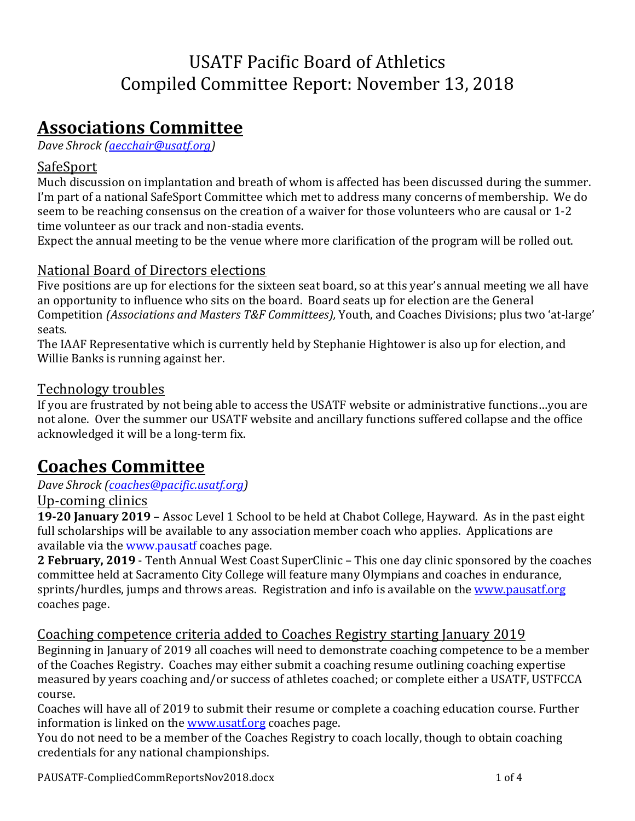## USATF Pacific Board of Athletics Compiled Committee Report: November 13, 2018

## **Associations Committee**

*Dave Shrock (aecchair@usatf.org)* 

### SafeSport

Much discussion on implantation and breath of whom is affected has been discussed during the summer. I'm part of a national SafeSport Committee which met to address many concerns of membership. We do seem to be reaching consensus on the creation of a waiver for those volunteers who are causal or 1-2 time volunteer as our track and non-stadia events.

Expect the annual meeting to be the venue where more clarification of the program will be rolled out.

### National Board of Directors elections

Five positions are up for elections for the sixteen seat board, so at this year's annual meeting we all have an opportunity to influence who sits on the board. Board seats up for election are the General Competition *(Associations and Masters T&F Committees)*, Youth, and Coaches Divisions; plus two 'at-large' seats.

The IAAF Representative which is currently held by Stephanie Hightower is also up for election, and Willie Banks is running against her.

### Technology troubles

If you are frustrated by not being able to access the USATF website or administrative functions...you are not alone. Over the summer our USATF website and ancillary functions suffered collapse and the office acknowledged it will be a long-term fix.

## **Coaches Committee**

#### *Dave Shrock (coaches@pacific.usatf.org)*

#### Up-coming clinics

**19-20 January 2019** – Assoc Level 1 School to be held at Chabot College, Hayward. As in the past eight full scholarships will be available to any association member coach who applies. Applications are available via the www.pausatf coaches page.

**2 February, 2019** - Tenth Annual West Coast SuperClinic – This one day clinic sponsored by the coaches committee held at Sacramento City College will feature many Olympians and coaches in endurance, sprints/hurdles, jumps and throws areas. Registration and info is available on the www.pausatf.org coaches page.

### Coaching competence criteria added to Coaches Registry starting January 2019

Beginning in January of 2019 all coaches will need to demonstrate coaching competence to be a member of the Coaches Registry. Coaches may either submit a coaching resume outlining coaching expertise measured by years coaching and/or success of athletes coached; or complete either a USATF, USTFCCA course.

Coaches will have all of 2019 to submit their resume or complete a coaching education course. Further information is linked on the **www.usatf.org** coaches page.

You do not need to be a member of the Coaches Registry to coach locally, though to obtain coaching credentials for any national championships.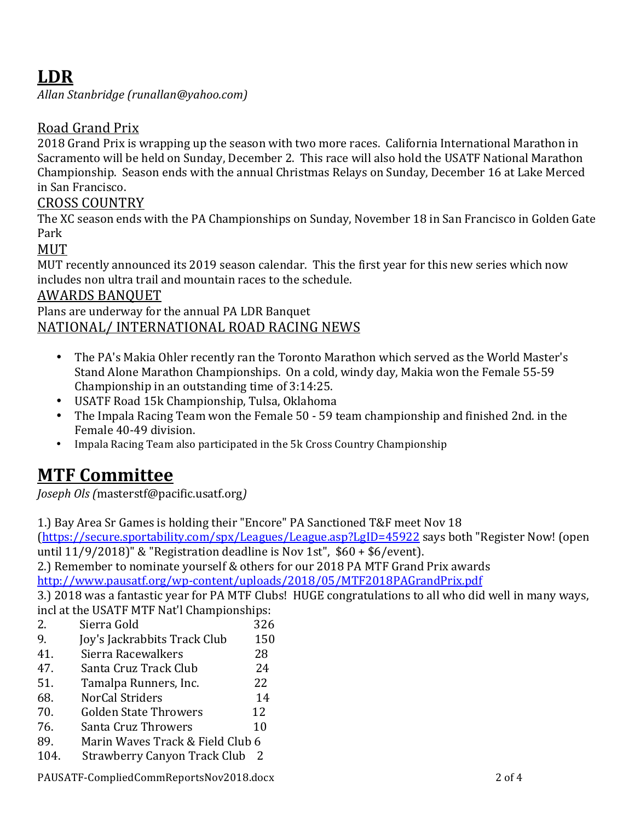## **LDR**

*Allan Stanbridge (runallan@yahoo.com)* 

### Road Grand Prix

2018 Grand Prix is wrapping up the season with two more races. California International Marathon in Sacramento will be held on Sunday, December 2. This race will also hold the USATF National Marathon Championship. Season ends with the annual Christmas Relays on Sunday, December 16 at Lake Merced in San Francisco.

#### CROSS COUNTRY

The XC season ends with the PA Championships on Sunday, November 18 in San Francisco in Golden Gate Park

MUT

MUT recently announced its 2019 season calendar. This the first year for this new series which now includes non ultra trail and mountain races to the schedule.

#### AWARDS BANQUET

Plans are underway for the annual PA LDR Banquet NATIONAL/ INTERNATIONAL ROAD RACING NEWS

- The PA's Makia Ohler recently ran the Toronto Marathon which served as the World Master's Stand Alone Marathon Championships. On a cold, windy day, Makia won the Female 55-59 Championship in an outstanding time of  $3:14:25$ .
- USATF Road 15k Championship, Tulsa, Oklahoma
- The Impala Racing Team won the Female 50 59 team championship and finished 2nd. in the Female 40-49 division.
- Impala Racing Team also participated in the 5k Cross Country Championship

## **MTF Committee**

*Joseph Ols (*masterstf@pacific.usatf.org*)* 

1.) Bay Area Sr Games is holding their "Encore" PA Sanctioned T&F meet Nov 18 (https://secure.sportability.com/spx/Leagues/League.asp?LgID=45922 says both "Register Now! (open until  $11/9/2018$ ]" & "Registration deadline is Nov 1st",  $$60 + $6/event$ ).

2.) Remember to nominate yourself & others for our 2018 PA MTF Grand Prix awards http://www.pausatf.org/wp-content/uploads/2018/05/MTF2018PAGrandPrix.pdf

3.) 2018 was a fantastic year for PA MTF Clubs! HUGE congratulations to all who did well in many ways, incl at the USATF MTF Nat'l Championships:

2. Sierra Gold 326 9. Ioy's Jackrabbits Track Club 150 41. Sierra Racewalkers 28 47. Santa Cruz Track Club 24 51. Tamalpa Runners, Inc. 22 68. NorCal Striders 14 70. Golden State Throwers 12 76. Santa Cruz Throwers 10 89. Marin Waves Track & Field Club 6 104. Strawberry Canyon Track Club 2

PAUSATF-CompliedCommReportsNov2018.docx 2 as 2 of 4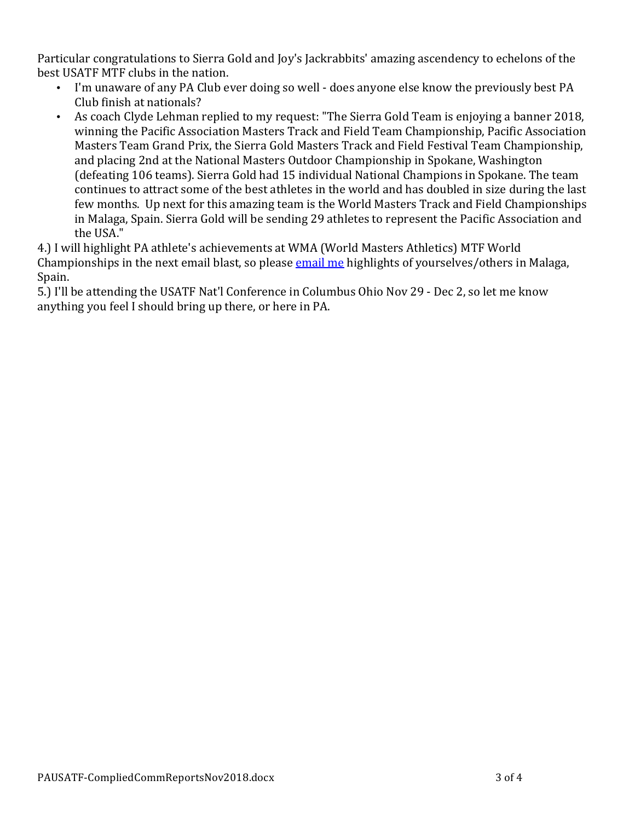Particular congratulations to Sierra Gold and Joy's Jackrabbits' amazing ascendency to echelons of the best USATF MTF clubs in the nation.

- I'm unaware of any PA Club ever doing so well does anyone else know the previously best PA Club finish at nationals?
- As coach Clyde Lehman replied to my request: "The Sierra Gold Team is enjoying a banner 2018, winning the Pacific Association Masters Track and Field Team Championship, Pacific Association Masters Team Grand Prix, the Sierra Gold Masters Track and Field Festival Team Championship, and placing 2nd at the National Masters Outdoor Championship in Spokane, Washington (defeating 106 teams). Sierra Gold had 15 individual National Champions in Spokane. The team continues to attract some of the best athletes in the world and has doubled in size during the last few months. Up next for this amazing team is the World Masters Track and Field Championships in Malaga, Spain. Sierra Gold will be sending 29 athletes to represent the Pacific Association and the USA."

4.) I will highlight PA athlete's achievements at WMA (World Masters Athletics) MTF World Championships in the next email blast, so please email me highlights of yourselves/others in Malaga, Spain. 

5.) I'll be attending the USATF Nat'l Conference in Columbus Ohio Nov 29 - Dec 2, so let me know anything you feel I should bring up there, or here in PA.